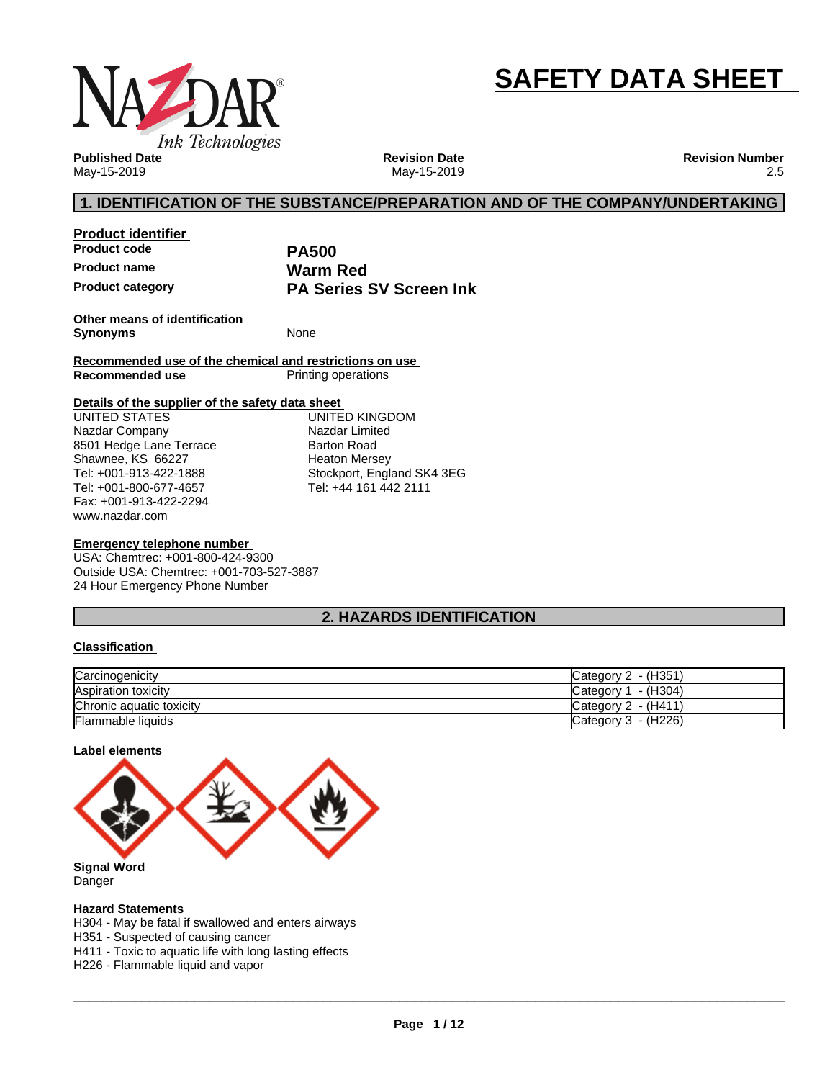

# **SAFETY DATA SHEET**

**Published Date** May-15-2019

**Revision Date** May-15-2019 **Revision Number** 2.5

# **1. IDENTIFICATION OF THE SUBSTANCE/PREPARATION AND OF THE COMPANY/UNDERTAKING**

**Product identifier Product code PA500 Product name**<br> **Product category**<br> **PA Series** 

**PA Series SV Screen Ink** 

**Other means of identification Synonyms** None

**Recommended use of the chemical and restrictions on use Printing operations** 

#### **Details of the supplier of the safety data sheet**

www.nazdar.com UNITED STATES Nazdar Company 8501 Hedge Lane Terrace Shawnee, KS 66227 Tel: +001-913-422-1888 Tel: +001-800-677-4657 Fax: +001-913-422-2294

UNITED KINGDOM Nazdar Limited Barton Road Heaton Mersey Stockport, England SK4 3EG Tel: +44 161 442 2111

#### **Emergency telephone number**

USA: Chemtrec: +001-800-424-9300 Outside USA: Chemtrec: +001-703-527-3887 24 Hour Emergency Phone Number

# **2. HAZARDS IDENTIFICATION**

#### **Classification**

| Carcinogenicity          | Category 2 - (H351)    |
|--------------------------|------------------------|
| Aspiration toxicity      | - (H304)<br>Category 1 |
| Chronic aquatic toxicity | Category 2 - (H411)    |
| <b>Flammable liquids</b> | Category $3 - (H226)$  |

#### **Label elements**



Danger

#### **Hazard Statements**

H304 - May be fatal if swallowed and enters airways

H351 - Suspected of causing cancer

H411 - Toxic to aquatic life with long lasting effects

H226 - Flammable liquid and vapor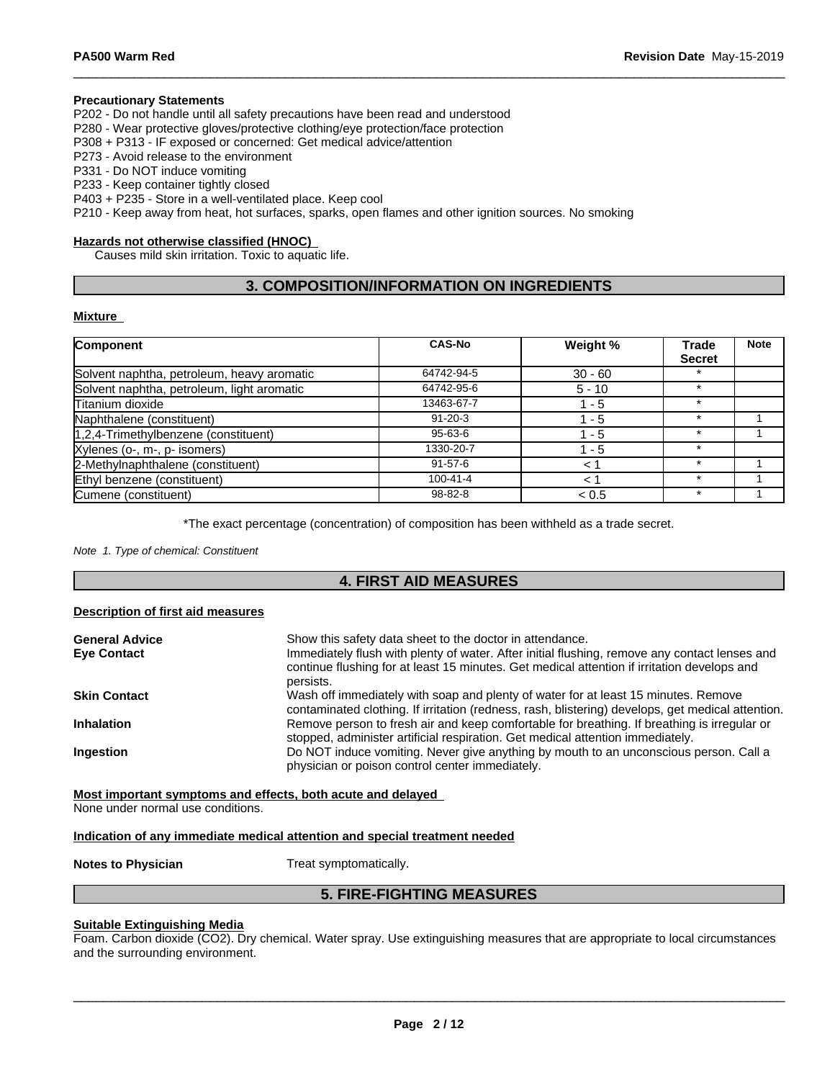#### **Precautionary Statements**

P202 - Do not handle until all safety precautions have been read and understood

P280 - Wear protective gloves/protective clothing/eye protection/face protection

P308 + P313 - IF exposed or concerned: Get medical advice/attention

P273 - Avoid release to the environment

P331 - Do NOT induce vomiting

P233 - Keep container tightly closed

P403 + P235 - Store in a well-ventilated place. Keep cool

P210 - Keep away from heat, hot surfaces, sparks, open flames and other ignition sources. No smoking

#### **Hazards not otherwise classified (HNOC)**

Causes mild skin irritation. Toxic to aquatic life.

# **3. COMPOSITION/INFORMATION ON INGREDIENTS**

#### **Mixture**

| Component                                  | <b>CAS-No</b>  | Weight %  | <b>Trade</b>  | <b>Note</b> |
|--------------------------------------------|----------------|-----------|---------------|-------------|
|                                            |                |           | <b>Secret</b> |             |
| Solvent naphtha, petroleum, heavy aromatic | 64742-94-5     | $30 - 60$ |               |             |
| Solvent naphtha, petroleum, light aromatic | 64742-95-6     | $5 - 10$  | $\star$       |             |
| Titanium dioxide                           | 13463-67-7     | 1 - 5     | $\star$       |             |
| Naphthalene (constituent)                  | $91 - 20 - 3$  | $1 - 5$   | $\star$       |             |
| 1,2,4-Trimethylbenzene (constituent)       | 95-63-6        | - 5       |               |             |
| Xylenes (o-, m-, p- isomers)               | 1330-20-7      | 1 - 5     |               |             |
| 2-Methylnaphthalene (constituent)          | $91 - 57 - 6$  | $\lt$     |               |             |
| Ethyl benzene (constituent)                | $100 - 41 - 4$ | 1 ج       |               |             |
| Cumene (constituent)                       | 98-82-8        | < 0.5     |               |             |

\*The exact percentage (concentration) of composition has been withheld as a trade secret.

*Note 1. Type of chemical: Constituent*

### **4. FIRST AID MEASURES**

#### **Description of first aid measures**

| Show this safety data sheet to the doctor in attendance.<br>Immediately flush with plenty of water. After initial flushing, remove any contact lenses and<br>continue flushing for at least 15 minutes. Get medical attention if irritation develops and |
|----------------------------------------------------------------------------------------------------------------------------------------------------------------------------------------------------------------------------------------------------------|
| persists.                                                                                                                                                                                                                                                |
| Wash off immediately with soap and plenty of water for at least 15 minutes. Remove<br>contaminated clothing. If irritation (redness, rash, blistering) develops, get medical attention.                                                                  |
| Remove person to fresh air and keep comfortable for breathing. If breathing is irregular or<br>stopped, administer artificial respiration. Get medical attention immediately.                                                                            |
| Do NOT induce vomiting. Never give anything by mouth to an unconscious person. Call a<br>physician or poison control center immediately.                                                                                                                 |
|                                                                                                                                                                                                                                                          |

**Most important symptoms and effects, both acute and delayed**

None under normal use conditions.

#### **Indication of any immediate medical attention and special treatment needed**

**Notes to Physician** Treat symptomatically.

# **5. FIRE-FIGHTING MEASURES**

#### **Suitable Extinguishing Media**

Foam. Carbon dioxide (CO2). Dry chemical. Water spray. Use extinguishing measures that are appropriate to local circumstances and the surrounding environment.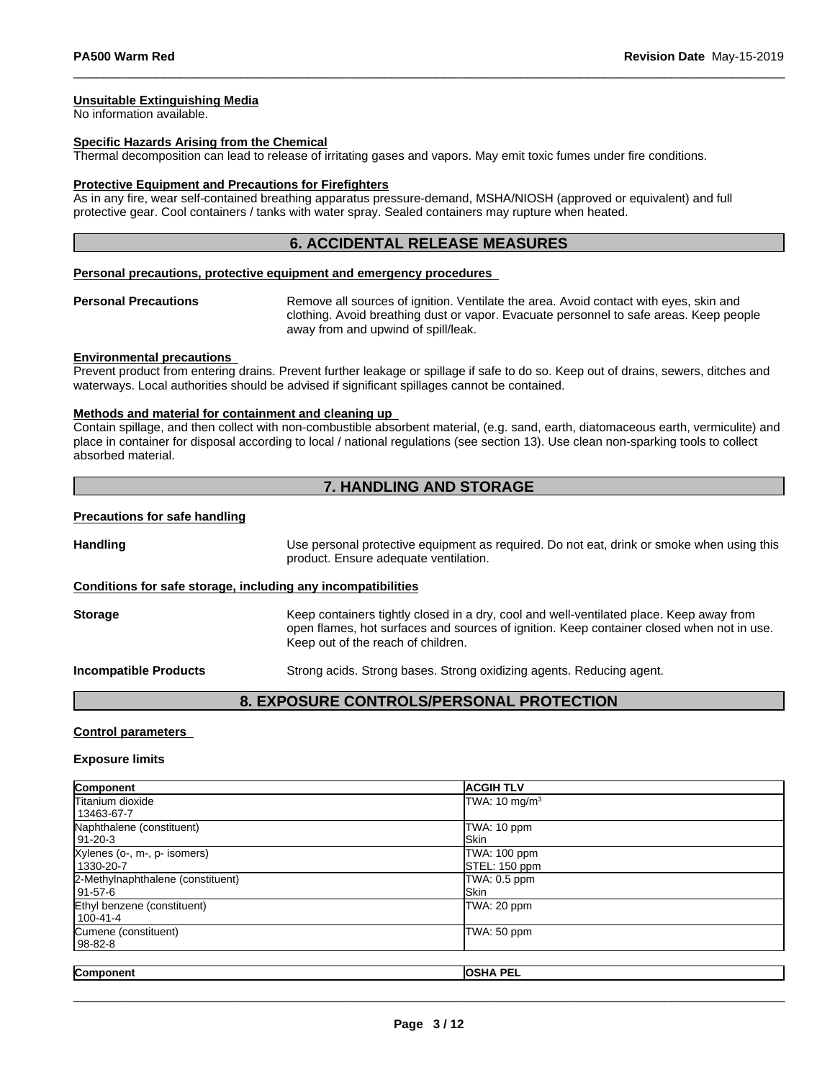#### **Unsuitable Extinguishing Media**

No information available.

#### **Specific Hazards Arising from the Chemical**

Thermal decomposition can lead to release of irritating gases and vapors. May emit toxic fumes under fire conditions.

#### **Protective Equipment and Precautions for Firefighters**

As in any fire, wear self-contained breathing apparatus pressure-demand, MSHA/NIOSH (approved or equivalent) and full protective gear. Cool containers / tanks with water spray. Sealed containers may rupture when heated.

#### **6. ACCIDENTAL RELEASE MEASURES**

#### **Personal precautions, protective equipment and emergency procedures**

**Personal Precautions** Remove all sources of ignition. Ventilate the area. Avoid contact with eyes, skin and clothing. Avoid breathing dust or vapor. Evacuate personnel to safe areas. Keep people away from and upwind of spill/leak.

#### **Environmental precautions**

Prevent product from entering drains. Prevent further leakage or spillage if safe to do so. Keep out of drains, sewers, ditches and waterways. Local authorities should be advised if significant spillages cannot be contained.

#### **Methods and material for containment and cleaning up**

Contain spillage, and then collectwith non-combustible absorbent material, (e.g. sand, earth, diatomaceous earth, vermiculite) and place in container for disposal according to local / national regulations (see section 13). Use clean non-sparking tools to collect absorbed material.

### **7. HANDLING AND STORAGE**

#### **Precautions for safe handling**

**Handling** Use personal protective equipment as required. Do not eat, drink or smoke when using this product. Ensure adequate ventilation. **Conditions for safe storage, including any incompatibilities**

**Storage** Keep containers tightly closed in a dry, cool and well-ventilated place. Keep away from open flames, hot surfaces and sources of ignition. Keep container closed when not in use. Keep out of the reach of children.

**Incompatible Products** Strong acids. Strong bases. Strong oxidizing agents. Reducing agent.

#### **8. EXPOSURE CONTROLS/PERSONAL PROTECTION**

#### **Control parameters**

#### **Exposure limits**

| Component                         | <b>ACGIH TLV</b>         |
|-----------------------------------|--------------------------|
| <b>Titanium dioxide</b>           | TWA: $10 \text{ mg/m}^3$ |
| 13463-67-7                        |                          |
| Naphthalene (constituent)         | TWA: 10 ppm              |
| 91-20-3                           | <b>Skin</b>              |
| Xylenes (o-, m-, p- isomers)      | TWA: 100 ppm             |
| 1330-20-7                         | STEL: 150 ppm            |
| 2-Methylnaphthalene (constituent) | TWA: 0.5 ppm             |
| l 91-57-6                         | <b>Skin</b>              |
| Ethyl benzene (constituent)       | TWA: 20 ppm              |
| 100-41-4                          |                          |
| Cumene (constituent)              | TWA: 50 ppm              |
| 98-82-8                           |                          |
|                                   |                          |
| Component                         | <b>OSHA PEL</b>          |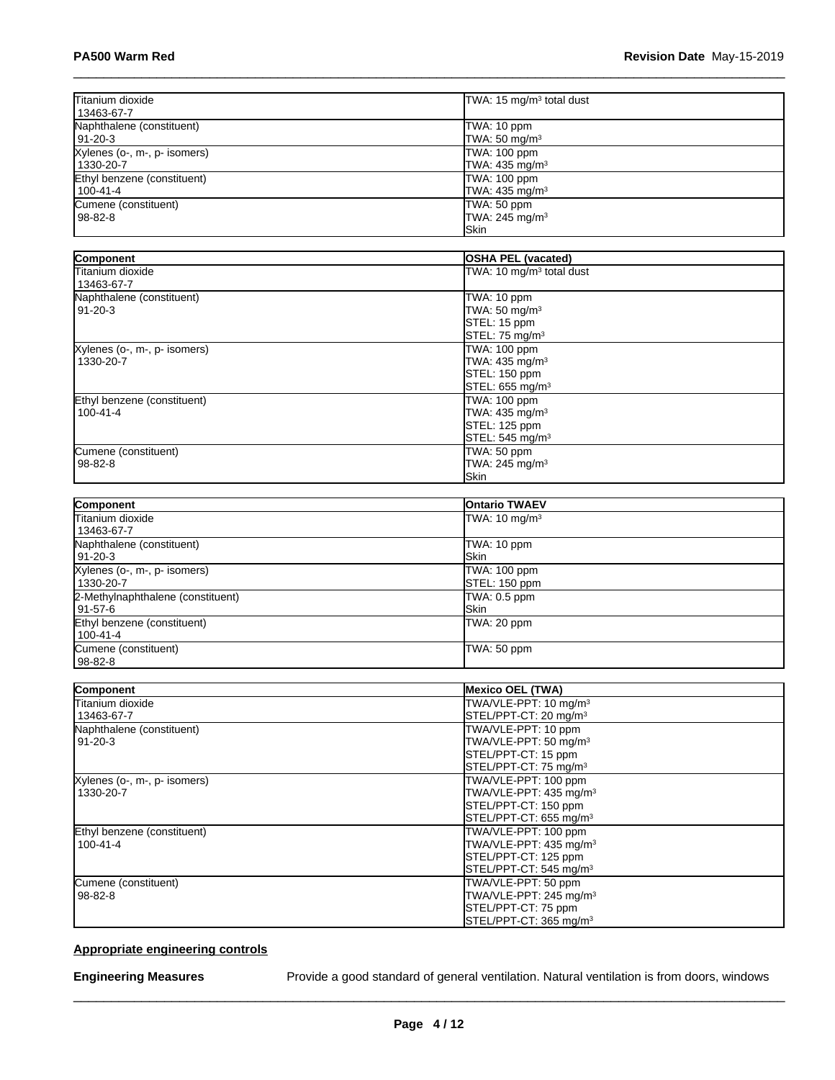| Titanium dioxide<br>13463-67-7              | TWA: 15 mg/m <sup>3</sup> total dust                        |  |
|---------------------------------------------|-------------------------------------------------------------|--|
| Naphthalene (constituent)<br>191-20-3       | TWA: 10 ppm<br>TWA: $50 \text{ mg/m}^3$                     |  |
| Xylenes (o-, m-, p- isomers)<br>l 1330-20-7 | TWA: 100 ppm<br>TWA: 435 mg/m <sup>3</sup>                  |  |
| Ethyl benzene (constituent)<br>l 100-41-4   | TWA: 100 ppm<br>TWA: $435 \text{ mg/m}^3$                   |  |
| Cumene (constituent)<br>l 98-82-8           | TWA: 50 ppm<br>TWA: $245$ mg/m <sup>3</sup><br><b>ISkin</b> |  |

| Component                    | <b>OSHA PEL (vacated)</b>            |
|------------------------------|--------------------------------------|
| <b>Titanium dioxide</b>      | TWA: 10 mg/m <sup>3</sup> total dust |
| 13463-67-7                   |                                      |
| Naphthalene (constituent)    | TWA: 10 ppm                          |
| $91 - 20 - 3$                | TWA: 50 mg/m <sup>3</sup>            |
|                              | STEL: 15 ppm                         |
|                              | STEL: 75 mg/m <sup>3</sup>           |
| Xylenes (o-, m-, p- isomers) | TWA: 100 ppm                         |
| 1330-20-7                    | TWA: 435 mg/m <sup>3</sup>           |
|                              | STEL: 150 ppm                        |
|                              | STEL: 655 mg/m <sup>3</sup>          |
| Ethyl benzene (constituent)  | TWA: 100 ppm                         |
| $100 - 41 - 4$               | TWA: $435 \text{ mg/m}^3$            |
|                              | STEL: 125 ppm                        |
|                              | STEL: 545 mg/m <sup>3</sup>          |
| Cumene (constituent)         | TWA: 50 ppm                          |
| $98 - 82 - 8$                | TWA: 245 mg/m <sup>3</sup>           |
|                              | <b>Skin</b>                          |

| Component                         | <b>Ontario TWAEV</b>     |
|-----------------------------------|--------------------------|
| Titanium dioxide                  | TWA: $10 \text{ mg/m}^3$ |
| 13463-67-7                        |                          |
| Naphthalene (constituent)         | TWA: 10 ppm              |
| 91-20-3                           | <b>Skin</b>              |
| Xylenes (o-, m-, p- isomers)      | TWA: 100 ppm             |
| 1330-20-7                         | STEL: 150 ppm            |
| 2-Methylnaphthalene (constituent) | TWA: 0.5 ppm             |
| l 91-57-6                         | <b>ISkin</b>             |
| Ethyl benzene (constituent)       | TWA: 20 ppm              |
| 100-41-4                          |                          |
| Cumene (constituent)              | TWA: 50 ppm              |
| 98-82-8                           |                          |

| Component                    | <b>Mexico OEL (TWA)</b>            |
|------------------------------|------------------------------------|
| Titanium dioxide             | TWA/VLE-PPT: 10 mg/m <sup>3</sup>  |
| 13463-67-7                   | STEL/PPT-CT: 20 mg/m <sup>3</sup>  |
| Naphthalene (constituent)    | TWA/VLE-PPT: 10 ppm                |
| $91 - 20 - 3$                | TWA/VLE-PPT: 50 mg/m <sup>3</sup>  |
|                              | STEL/PPT-CT: 15 ppm                |
|                              | STEL/PPT-CT: 75 mg/m <sup>3</sup>  |
| Xylenes (o-, m-, p- isomers) | TWA/VLE-PPT: 100 ppm               |
| 1330-20-7                    | TWA/VLE-PPT: 435 mg/m <sup>3</sup> |
|                              | STEL/PPT-CT: 150 ppm               |
|                              | STEL/PPT-CT: 655 mg/m <sup>3</sup> |
| Ethyl benzene (constituent)  | TWA/VLE-PPT: 100 ppm               |
| $100 - 41 - 4$               | TWA/VLE-PPT: 435 mg/m <sup>3</sup> |
|                              | STEL/PPT-CT: 125 ppm               |
|                              | STEL/PPT-CT: 545 mg/m <sup>3</sup> |
| Cumene (constituent)         | TWA/VLE-PPT: 50 ppm                |
| $98 - 82 - 8$                | TWA/VLE-PPT: 245 mg/m <sup>3</sup> |
|                              | STEL/PPT-CT: 75 ppm                |
|                              | STEL/PPT-CT: 365 mg/m <sup>3</sup> |

# **Appropriate engineering controls**

**Engineering Measures** Provide a good standard of general ventilation. Natural ventilation is from doors, windows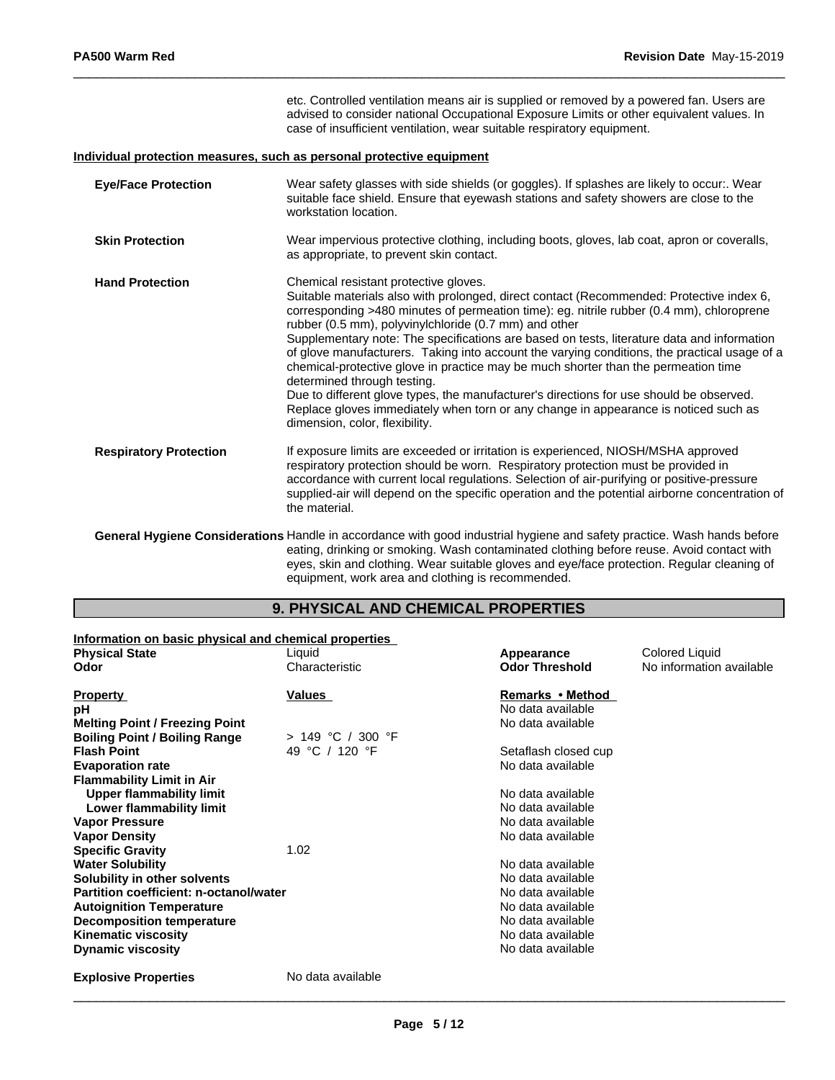|                               | etc. Controlled ventilation means air is supplied or removed by a powered fan. Users are<br>advised to consider national Occupational Exposure Limits or other equivalent values. In<br>case of insufficient ventilation, wear suitable respiratory equipment.                                                                                                                                                                                                                                                                                                                                                                                                                                                                                                                                                                |
|-------------------------------|-------------------------------------------------------------------------------------------------------------------------------------------------------------------------------------------------------------------------------------------------------------------------------------------------------------------------------------------------------------------------------------------------------------------------------------------------------------------------------------------------------------------------------------------------------------------------------------------------------------------------------------------------------------------------------------------------------------------------------------------------------------------------------------------------------------------------------|
|                               | Individual protection measures, such as personal protective equipment                                                                                                                                                                                                                                                                                                                                                                                                                                                                                                                                                                                                                                                                                                                                                         |
| <b>Eye/Face Protection</b>    | Wear safety glasses with side shields (or goggles). If splashes are likely to occur:. Wear<br>suitable face shield. Ensure that eyewash stations and safety showers are close to the<br>workstation location.                                                                                                                                                                                                                                                                                                                                                                                                                                                                                                                                                                                                                 |
| <b>Skin Protection</b>        | Wear impervious protective clothing, including boots, gloves, lab coat, apron or coveralls,<br>as appropriate, to prevent skin contact.                                                                                                                                                                                                                                                                                                                                                                                                                                                                                                                                                                                                                                                                                       |
| <b>Hand Protection</b>        | Chemical resistant protective gloves.<br>Suitable materials also with prolonged, direct contact (Recommended: Protective index 6,<br>corresponding >480 minutes of permeation time): eg. nitrile rubber (0.4 mm), chloroprene<br>rubber (0.5 mm), polyvinylchloride (0.7 mm) and other<br>Supplementary note: The specifications are based on tests, literature data and information<br>of glove manufacturers. Taking into account the varying conditions, the practical usage of a<br>chemical-protective glove in practice may be much shorter than the permeation time<br>determined through testing.<br>Due to different glove types, the manufacturer's directions for use should be observed.<br>Replace gloves immediately when torn or any change in appearance is noticed such as<br>dimension, color, flexibility. |
| <b>Respiratory Protection</b> | If exposure limits are exceeded or irritation is experienced, NIOSH/MSHA approved<br>respiratory protection should be worn. Respiratory protection must be provided in<br>accordance with current local regulations. Selection of air-purifying or positive-pressure<br>supplied-air will depend on the specific operation and the potential airborne concentration of<br>the material.                                                                                                                                                                                                                                                                                                                                                                                                                                       |
|                               | General Hygiene Considerations Handle in accordance with good industrial hygiene and safety practice. Wash hands before<br>eating, drinking or smoking. Wash contaminated clothing before reuse. Avoid contact with<br>eyes, skin and clothing. Wear suitable gloves and eye/face protection. Regular cleaning of                                                                                                                                                                                                                                                                                                                                                                                                                                                                                                             |

# **9. PHYSICAL AND CHEMICAL PROPERTIES**

equipment, work area and clothing is recommended.

| Information on basic physical and chemical properties |                     |                       |                          |
|-------------------------------------------------------|---------------------|-----------------------|--------------------------|
| <b>Physical State</b>                                 | Liquid              | Appearance            | Colored Liquid           |
| Odor                                                  | Characteristic      | <b>Odor Threshold</b> | No information available |
| <b>Property</b>                                       | Values              | Remarks • Method      |                          |
| рH                                                    |                     | No data available     |                          |
| <b>Melting Point / Freezing Point</b>                 |                     | No data available     |                          |
| <b>Boiling Point / Boiling Range</b>                  | $> 149$ °C / 300 °F |                       |                          |
| <b>Flash Point</b>                                    | 49 °C / 120 °F      | Setaflash closed cup  |                          |
| <b>Evaporation rate</b>                               |                     | No data available     |                          |
| <b>Flammability Limit in Air</b>                      |                     |                       |                          |
| <b>Upper flammability limit</b>                       |                     | No data available     |                          |
| Lower flammability limit                              |                     | No data available     |                          |
| <b>Vapor Pressure</b>                                 |                     | No data available     |                          |
| <b>Vapor Density</b>                                  |                     | No data available     |                          |
| <b>Specific Gravity</b>                               | 1.02                |                       |                          |
| <b>Water Solubility</b>                               |                     | No data available     |                          |
| Solubility in other solvents                          |                     | No data available     |                          |
| Partition coefficient: n-octanol/water                |                     | No data available     |                          |
| <b>Autoignition Temperature</b>                       |                     | No data available     |                          |
| <b>Decomposition temperature</b>                      |                     | No data available     |                          |
| <b>Kinematic viscosity</b>                            |                     | No data available     |                          |
| <b>Dynamic viscosity</b>                              |                     | No data available     |                          |
| <b>Explosive Properties</b>                           | No data available   |                       |                          |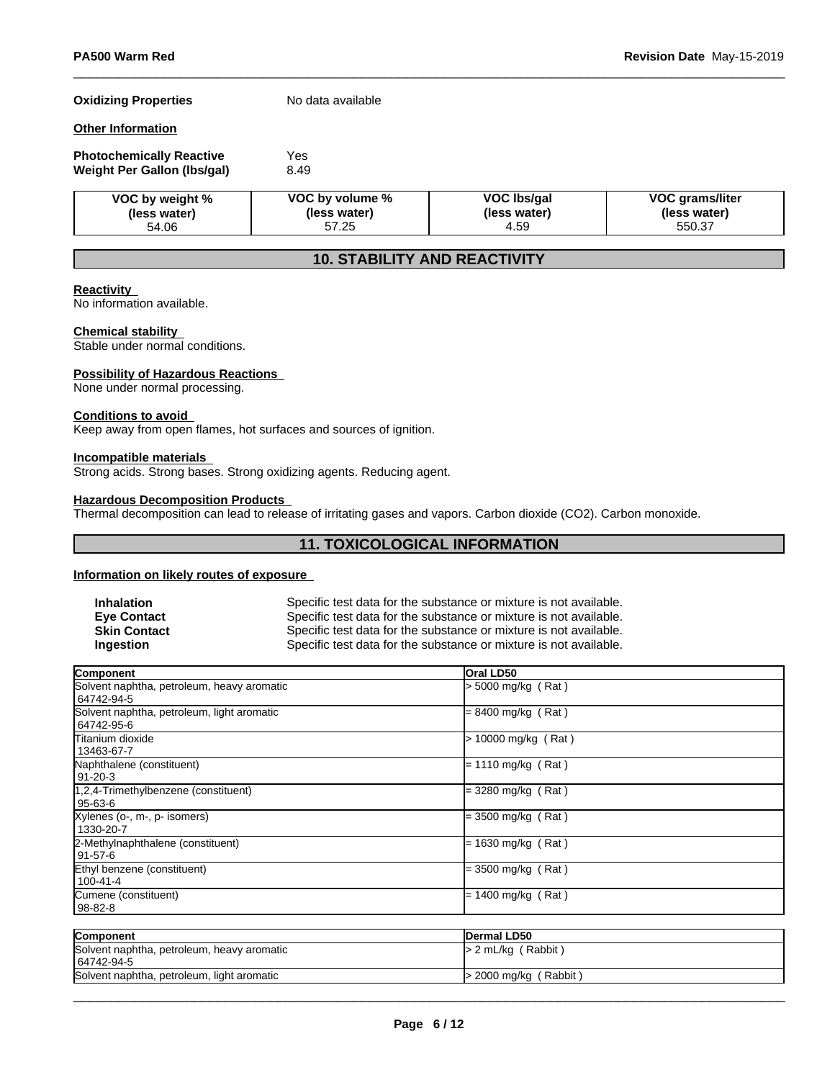#### **Oxidizing Properties** No data available

### **Other Information**

| <b>Photochemically Reactive</b> | Yes  |
|---------------------------------|------|
| Weight Per Gallon (Ibs/gal)     | 8.49 |

| VOC by weight % | VOC by volume % | VOC Ibs/gal  | <b>VOC grams/liter</b> |
|-----------------|-----------------|--------------|------------------------|
| (less water)    | (less water)    | (less water) | (less water)           |
| 54.06           | 57.25           | 4.59         | 550.37                 |

# **10. STABILITY AND REACTIVITY**

#### **Reactivity**

No information available.

#### **Chemical stability**

Stable under normal conditions.

#### **Possibility of Hazardous Reactions**

None under normal processing.

#### **Conditions to avoid**

Keep away from open flames, hot surfaces and sources of ignition.

#### **Incompatible materials**

Strong acids. Strong bases. Strong oxidizing agents. Reducing agent.

# **Hazardous Decomposition Products**

Thermal decomposition can lead to release of irritating gases and vapors. Carbon dioxide (CO2). Carbon monoxide.

# **11. TOXICOLOGICAL INFORMATION**

#### **Information on likely routes of exposure**

| <b>Inhalation</b>   | Specific test data for the substance or mixture is not available. |
|---------------------|-------------------------------------------------------------------|
| <b>Eve Contact</b>  | Specific test data for the substance or mixture is not available. |
| <b>Skin Contact</b> | Specific test data for the substance or mixture is not available. |
| <b>Ingestion</b>    | Specific test data for the substance or mixture is not available. |

| <b>Component</b>                                         | <b>Oral LD50</b>       |  |
|----------------------------------------------------------|------------------------|--|
| Solvent naphtha, petroleum, heavy aromatic<br>64742-94-5 | > 5000 mg/kg (Rat)     |  |
| Solvent naphtha, petroleum, light aromatic<br>64742-95-6 | = 8400 mg/kg (Rat)     |  |
| lTitanium dioxide<br>13463-67-7                          | 10000 mg/kg (Rat)<br>⊳ |  |
| Naphthalene (constituent)<br>$91 - 20 - 3$               | $= 1110$ mg/kg (Rat)   |  |
| 1,2,4-Trimethylbenzene (constituent)<br>95-63-6          | = 3280 mg/kg (Rat)     |  |
| Xylenes (o-, m-, p- isomers)<br>1330-20-7                | = 3500 mg/kg (Rat)     |  |
| 2-Methylnaphthalene (constituent)<br>91-57-6             | $= 1630$ mg/kg (Rat)   |  |
| Ethyl benzene (constituent)<br>$100 - 41 - 4$            | = 3500 mg/kg (Rat)     |  |
| Cumene (constituent)<br>  98-82-8                        | $= 1400$ mg/kg (Rat)   |  |

| Component                                                | Dermal LD50             |
|----------------------------------------------------------|-------------------------|
| Solvent naphtha, petroleum, heavy aromatic<br>64742-94-5 | $> 2$ mL/kg (Rabbit)    |
| Solvent naphtha, petroleum, light aromatic               | $>$ 2000 mg/kg (Rabbit) |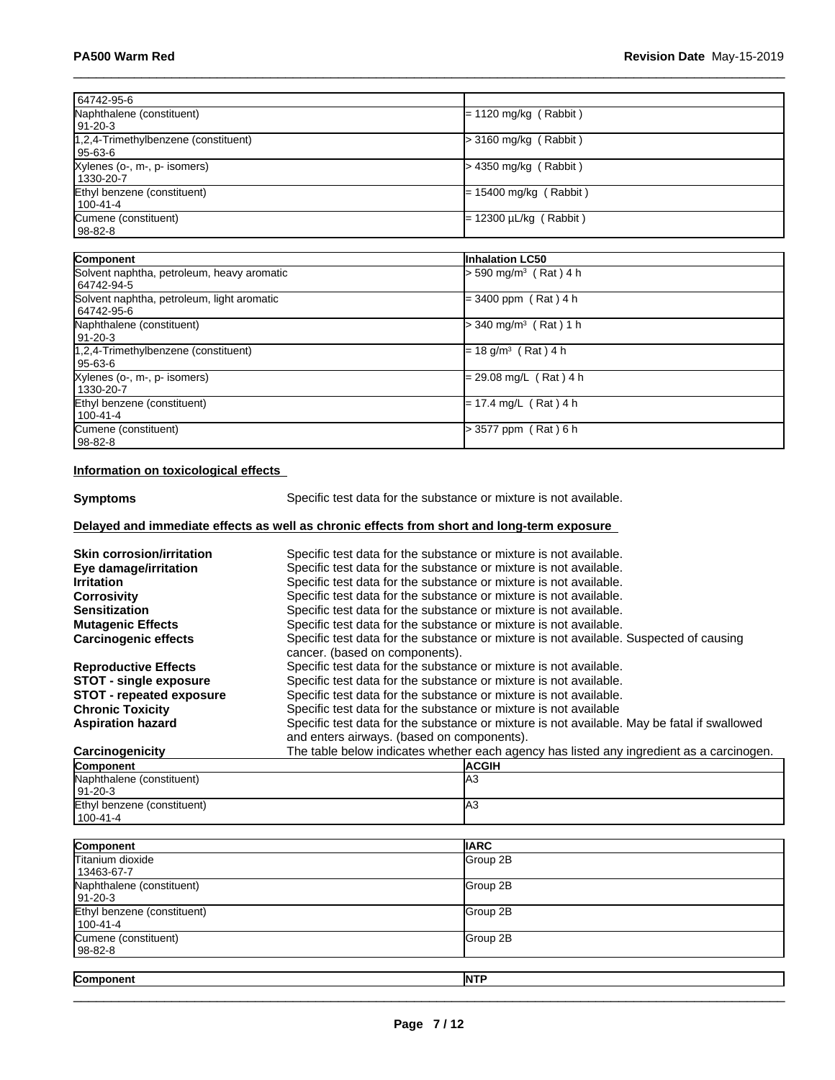| 64742-95-6                                 |                                     |  |
|--------------------------------------------|-------------------------------------|--|
| Naphthalene (constituent)                  | $= 1120$ mg/kg (Rabbit)             |  |
| 91-20-3                                    |                                     |  |
| 1,2,4-Trimethylbenzene (constituent)       | $>$ 3160 mg/kg (Rabbit)             |  |
| 95-63-6                                    |                                     |  |
| Xylenes (o-, m-, p- isomers)               | $>$ 4350 mg/kg (Rabbit)             |  |
| 1330-20-7                                  |                                     |  |
| Ethyl benzene (constituent)                | $= 15400$ mg/kg (Rabbit)            |  |
| $100 - 41 - 4$                             |                                     |  |
| Cumene (constituent)                       | = 12300 µL/kg ( Rabbit )            |  |
| 98-82-8                                    |                                     |  |
|                                            |                                     |  |
| Component                                  | <b>Inhalation LC50</b>              |  |
| Solvent naphtha, petroleum, heavy aromatic | $> 590$ mg/m <sup>3</sup> (Rat) 4 h |  |
| 64742-94-5                                 |                                     |  |
| Solvent naphtha, petroleum, light aromatic | $=$ 3400 ppm (Rat) 4 h              |  |
| 64742-95-6                                 |                                     |  |
| Naphthalene (constituent)                  | $>$ 340 mg/m <sup>3</sup> (Rat) 1 h |  |
| $ 91-20-3 $                                |                                     |  |
| 1,2,4-Trimethylbenzene (constituent)       | $= 18$ g/m <sup>3</sup> (Rat) 4 h   |  |
| 95-63-6                                    |                                     |  |
| Xylenes (o-, m-, p- isomers)               | = 29.08 mg/L (Rat) 4 h              |  |
| 1330-20-7                                  |                                     |  |
| Ethyl benzene (constituent)                | = 17.4 mg/L (Rat)4 h                |  |
| 100-41-4                                   |                                     |  |
| Cumene (constituent)                       | > 3577 ppm (Rat) 6 h                |  |
| 98-82-8                                    |                                     |  |
|                                            |                                     |  |

### **Information on toxicological effects**

**Symptoms** Specific test data for the substance or mixture is not available.

# **Delayed and immediate effects as well as chronic effects from short and long-term exposure**

| <b>Skin corrosion/irritation</b> | Specific test data for the substance or mixture is not available.                                                        |
|----------------------------------|--------------------------------------------------------------------------------------------------------------------------|
| Eye damage/irritation            | Specific test data for the substance or mixture is not available.                                                        |
| <b>Irritation</b>                | Specific test data for the substance or mixture is not available.                                                        |
| <b>Corrosivity</b>               | Specific test data for the substance or mixture is not available.                                                        |
| <b>Sensitization</b>             | Specific test data for the substance or mixture is not available.                                                        |
| <b>Mutagenic Effects</b>         | Specific test data for the substance or mixture is not available.                                                        |
| <b>Carcinogenic effects</b>      | Specific test data for the substance or mixture is not available. Suspected of causing<br>cancer. (based on components). |
| <b>Reproductive Effects</b>      | Specific test data for the substance or mixture is not available.                                                        |
| <b>STOT - single exposure</b>    | Specific test data for the substance or mixture is not available.                                                        |
| <b>STOT</b> - repeated exposure  | Specific test data for the substance or mixture is not available.                                                        |
| <b>Chronic Toxicity</b>          | Specific test data for the substance or mixture is not available                                                         |
| <b>Aspiration hazard</b>         | Specific test data for the substance or mixture is not available. May be fatal if swallowed                              |
|                                  | and enters airways. (based on components).                                                                               |
| Carcinogenicity                  | The table below indicates whether each agency has listed any ingredient as a carcinogen.                                 |
| Component                        | <b>ACGIH</b>                                                                                                             |

| Component                   | <b>ACGIH</b> |
|-----------------------------|--------------|
| Naphthalene (constituent)   | IАЗ          |
| $191 - 20 - 3$              |              |
| Ethyl benzene (constituent) | IАЗ          |
| $1100 - 41 - 4$             |              |

| Component                               | <b>IIARC</b> |
|-----------------------------------------|--------------|
| Titanium dioxide<br>13463-67-7          | Group 2B     |
| Naphthalene (constituent)<br> 91-20-3   | Group 2B     |
| Ethyl benzene (constituent)<br>100-41-4 | Group 2B     |
| Cumene (constituent)<br>  98-82-8       | Group 2B     |
| Component                               | <b>NTP</b>   |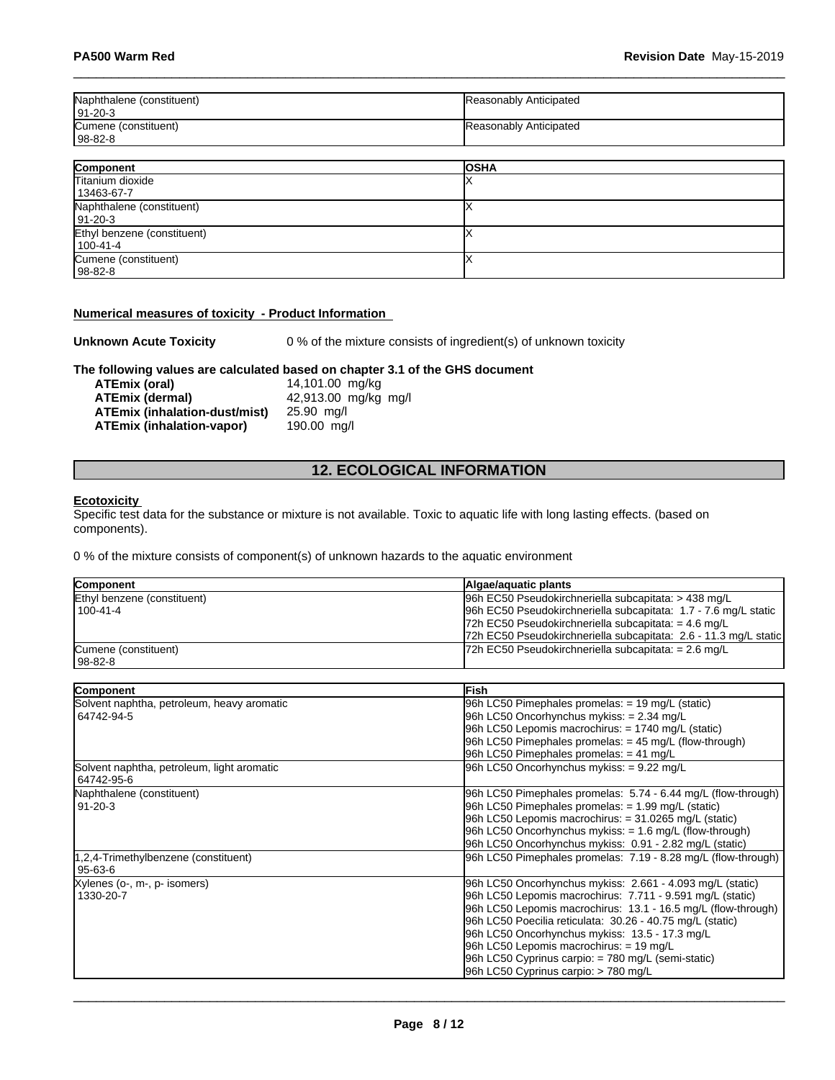| Naphthalene (constituent)<br>  91-20-3 | Reasonably Anticipated |
|----------------------------------------|------------------------|
| Cumene (constituent)<br>  98-82-8      | Reasonably Anticipated |

| Component                   | <b>OSHA</b> |
|-----------------------------|-------------|
| Titanium dioxide            |             |
| 13463-67-7                  |             |
| Naphthalene (constituent)   |             |
| $ 91-20-3 $                 |             |
| Ethyl benzene (constituent) |             |
| $100-41-4$                  |             |
| Cumene (constituent)        |             |
| $98-82-8$                   |             |

#### **Numerical measures of toxicity - Product Information**

**Unknown Acute Toxicity** 0 % of the mixture consists of ingredient(s) of unknown toxicity

# **The following values are calculated based on chapter 3.1 of the GHS document**

**ATEmix (oral)** 14,101.00 mg/kg<br>**ATEmix (dermal)** 42,913.00 mg/kg **ATEmix (dermal)**42,913.00 mg/kg mg/l **ATEmix (inhalation-dust/mist)** 25.90 mg/l **ATEmix (inhalation-vapor)** 

# **12. ECOLOGICAL INFORMATION**

#### **Ecotoxicity**

Specific test data for the substance or mixture is not available. Toxic to aquatic life with long lasting effects. (based on components).

0 % of the mixture consists of component(s) of unknown hazards to the aquatic environment

| <b>Component</b>            | Algae/aguatic plants                                             |
|-----------------------------|------------------------------------------------------------------|
| Ethyl benzene (constituent) | 96h EC50 Pseudokirchneriella subcapitata: > 438 mg/L             |
| $1100 - 41 - 4$             | 96h EC50 Pseudokirchneriella subcapitata: 1.7 - 7.6 mg/L static  |
|                             | 72h EC50 Pseudokirchneriella subcapitata: = $4.6 \text{ mg/L}$   |
|                             | 72h EC50 Pseudokirchneriella subcapitata: 2.6 - 11.3 mg/L static |
| Cumene (constituent)        | $72h$ EC50 Pseudokirchneriella subcapitata: = 2.6 mg/L           |
| 98-82-8                     |                                                                  |

| <b>Component</b>                           | <b>IFish</b>                                                  |
|--------------------------------------------|---------------------------------------------------------------|
| Solvent naphtha, petroleum, heavy aromatic | 96h LC50 Pimephales promelas: = 19 mg/L (static)              |
| 64742-94-5                                 | 96h LC50 Oncorhynchus mykiss: = 2.34 mg/L                     |
|                                            | 96h LC50 Lepomis macrochirus: = 1740 mg/L (static)            |
|                                            | 96h LC50 Pimephales promelas: $=$ 45 mg/L (flow-through)      |
|                                            | 96h LC50 Pimephales promelas: $= 41$ mg/L                     |
| Solvent naphtha, petroleum, light aromatic | 96h LC50 Oncorhynchus mykiss: = 9.22 mg/L                     |
| 64742-95-6                                 |                                                               |
| Naphthalene (constituent)                  | 96h LC50 Pimephales promelas: 5.74 - 6.44 mg/L (flow-through) |
| 91-20-3                                    | 96h LC50 Pimephales promelas: = 1.99 mg/L (static)            |
|                                            | $96h$ LC50 Lepomis macrochirus: = 31.0265 mg/L (static)       |
|                                            | $96h$ LC50 Oncorhynchus mykiss: $= 1.6$ mg/L (flow-through)   |
|                                            | 96h LC50 Oncorhynchus mykiss: 0.91 - 2.82 mg/L (static)       |
| 1,2,4-Trimethylbenzene (constituent)       | 96h LC50 Pimephales promelas: 7.19 - 8.28 mg/L (flow-through) |
| 95-63-6                                    |                                                               |
| Xylenes (o-, m-, p- isomers)               | 96h LC50 Oncorhynchus mykiss: 2.661 - 4.093 mg/L (static)     |
| 1330-20-7                                  | 96h LC50 Lepomis macrochirus: 7.711 - 9.591 mg/L (static)     |
|                                            | 96h LC50 Lepomis macrochirus: 13.1 - 16.5 mg/L (flow-through) |
|                                            | 96h LC50 Poecilia reticulata: 30.26 - 40.75 mg/L (static)     |
|                                            | 96h LC50 Oncorhynchus mykiss: 13.5 - 17.3 mg/L                |
|                                            | 96h LC50 Lepomis macrochirus: $= 19$ mg/L                     |
|                                            | 96h LC50 Cyprinus carpio: = 780 mg/L (semi-static)            |
|                                            | 96h LC50 Cyprinus carpio: > 780 mg/L                          |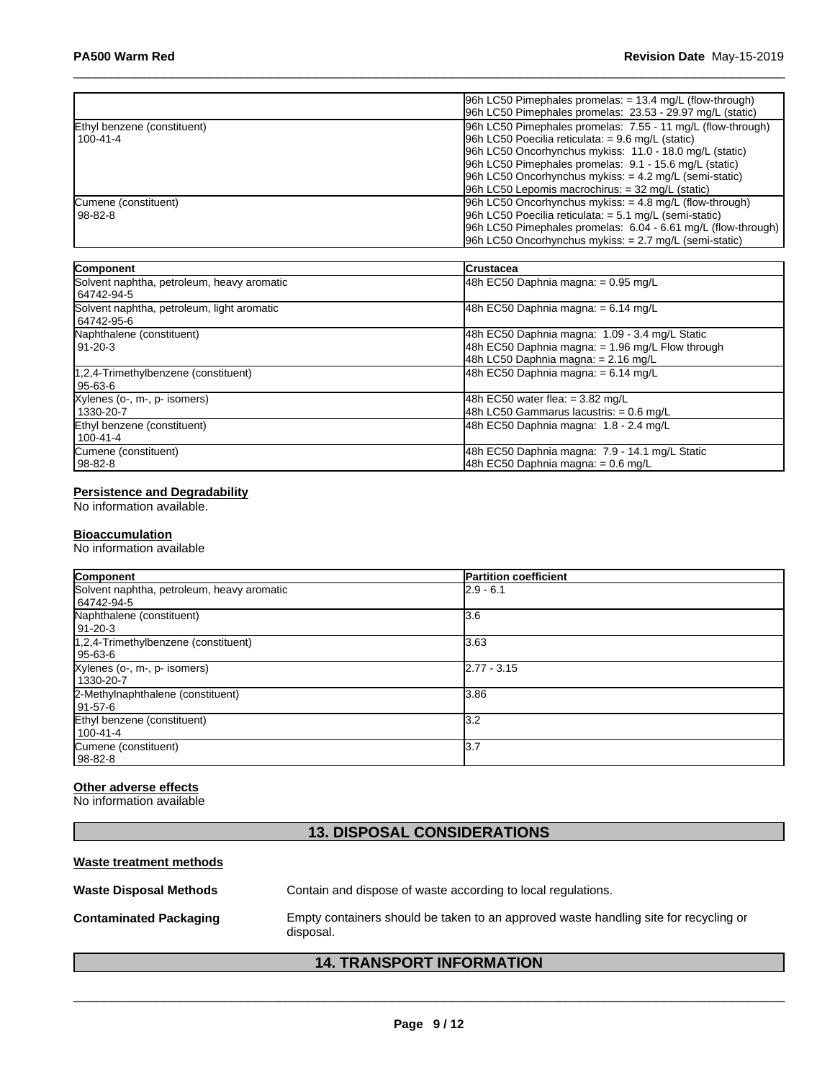|                             | $ 96h$ LC50 Pimephales promelas: $= 13.4$ mg/L (flow-through) |
|-----------------------------|---------------------------------------------------------------|
|                             | 96h LC50 Pimephales promelas: 23.53 - 29.97 mg/L (static)     |
| Ethyl benzene (constituent) | 96h LC50 Pimephales promelas: 7.55 - 11 mg/L (flow-through)   |
| l 100-41-4                  | $ 96h$ LC50 Poecilia reticulata: = 9.6 mg/L (static)          |
|                             | 96h LC50 Oncorhynchus mykiss: 11.0 - 18.0 mg/L (static)       |
|                             | 96h LC50 Pimephales promelas: 9.1 - 15.6 mg/L (static)        |
|                             | $96h$ LC50 Oncorhynchus mykiss: $= 4.2$ mg/L (semi-static)    |
|                             | 96h LC50 Lepomis macrochirus: $=$ 32 mg/L (static)            |
| Cumene (constituent)        | $ 96h$ LC50 Oncorhynchus mykiss: $=$ 4.8 mg/L (flow-through)  |
| l 98-82-8                   | 96h LC50 Poecilia reticulata: $= 5.1$ mg/L (semi-static)      |
|                             | 96h LC50 Pimephales promelas: 6.04 - 6.61 mg/L (flow-through) |
|                             | $96h$ LC50 Oncorhynchus mykiss: $= 2.7$ mg/L (semi-static)    |

| Component                                                | <b>ICrustacea</b>                                                                                                                           |
|----------------------------------------------------------|---------------------------------------------------------------------------------------------------------------------------------------------|
| Solvent naphtha, petroleum, heavy aromatic<br>64742-94-5 | 48h EC50 Daphnia magna: $= 0.95$ mg/L                                                                                                       |
| Solvent naphtha, petroleum, light aromatic<br>64742-95-6 | 48h EC50 Daphnia magna: $= 6.14$ mg/L                                                                                                       |
| Naphthalene (constituent)<br>  91-20-3                   | 48h EC50 Daphnia magna: 1.09 - 3.4 mg/L Static<br>48h EC50 Daphnia magna: $= 1.96$ mg/L Flow through<br>48h LC50 Daphnia magna: = 2.16 mg/L |
| 1,2,4-Trimethylbenzene (constituent)<br>95-63-6          | 48h EC50 Daphnia magna: $= 6.14$ mg/L                                                                                                       |
| Xylenes (o-, m-, p- isomers)<br>1330-20-7                | 48h EC50 water flea: $= 3.82$ mg/L<br>48h LC50 Gammarus lacustris: = 0.6 mg/L                                                               |
| Ethyl benzene (constituent)<br>100-41-4                  | 48h EC50 Daphnia magna: 1.8 - 2.4 mg/L                                                                                                      |
| Cumene (constituent)<br>  98-82-8                        | 48h EC50 Daphnia magna: 7.9 - 14.1 mg/L Static<br>48h EC50 Daphnia magna: = 0.6 mg/L                                                        |

#### **Persistence and Degradability**

No information available.

#### **Bioaccumulation**

No information available

| Component                                  | <b>Partition coefficient</b> |
|--------------------------------------------|------------------------------|
| Solvent naphtha, petroleum, heavy aromatic | $2.9 - 6.1$                  |
| 64742-94-5                                 |                              |
| Naphthalene (constituent)                  | 3.6                          |
| 91-20-3                                    |                              |
| $1,2,4$ -Trimethylbenzene (constituent)    | 3.63                         |
| 95-63-6                                    |                              |
| Xylenes (o-, m-, p- isomers)               | $2.77 - 3.15$                |
| 1330-20-7                                  |                              |
| 2-Methylnaphthalene (constituent)          | 3.86                         |
| 91-57-6                                    |                              |
| Ethyl benzene (constituent)                | 3.2                          |
| $100 - 41 - 4$                             |                              |
| Cumene (constituent)                       | 13.7                         |
| 98-82-8                                    |                              |

# **Other adverse effects**

No information available

# **13. DISPOSAL CONSIDERATIONS**

#### **Waste treatment methods**

| <b>Waste Disposal Methods</b> | Contain and dispose of waste according to local regulations.                                      |
|-------------------------------|---------------------------------------------------------------------------------------------------|
| <b>Contaminated Packaging</b> | Empty containers should be taken to an approved waste handling site for recycling or<br>disposal. |

# **14. TRANSPORT INFORMATION**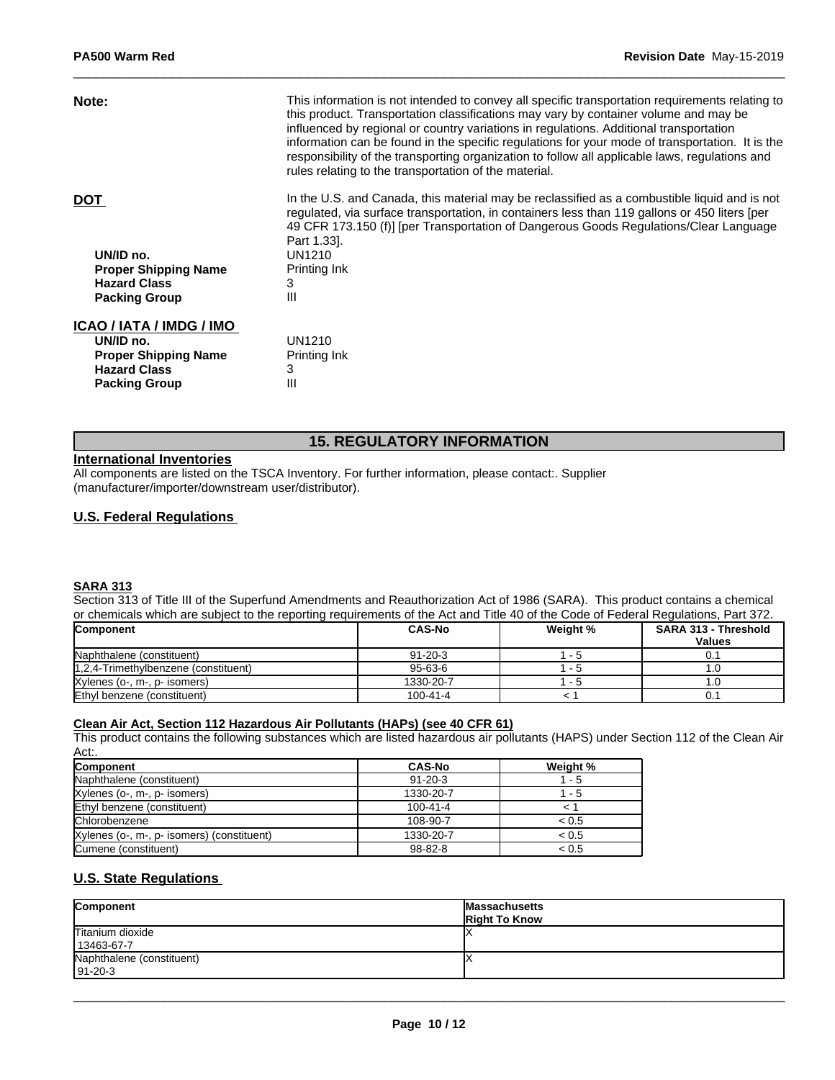| Note:                       | This information is not intended to convey all specific transportation requirements relating to<br>this product. Transportation classifications may vary by container volume and may be<br>influenced by regional or country variations in regulations. Additional transportation<br>information can be found in the specific regulations for your mode of transportation. It is the<br>responsibility of the transporting organization to follow all applicable laws, regulations and<br>rules relating to the transportation of the material. |
|-----------------------------|-------------------------------------------------------------------------------------------------------------------------------------------------------------------------------------------------------------------------------------------------------------------------------------------------------------------------------------------------------------------------------------------------------------------------------------------------------------------------------------------------------------------------------------------------|
|                             |                                                                                                                                                                                                                                                                                                                                                                                                                                                                                                                                                 |
| <b>DOT</b>                  | In the U.S. and Canada, this material may be reclassified as a combustible liquid and is not<br>regulated, via surface transportation, in containers less than 119 gallons or 450 liters [per<br>49 CFR 173.150 (f)] [per Transportation of Dangerous Goods Regulations/Clear Language<br>Part 1.33.                                                                                                                                                                                                                                            |
| UN/ID no.                   | UN1210                                                                                                                                                                                                                                                                                                                                                                                                                                                                                                                                          |
| <b>Proper Shipping Name</b> | Printing Ink                                                                                                                                                                                                                                                                                                                                                                                                                                                                                                                                    |
| <b>Hazard Class</b>         | 3                                                                                                                                                                                                                                                                                                                                                                                                                                                                                                                                               |
| <b>Packing Group</b>        | Ш                                                                                                                                                                                                                                                                                                                                                                                                                                                                                                                                               |
| ICAO / IATA / IMDG / IMO    |                                                                                                                                                                                                                                                                                                                                                                                                                                                                                                                                                 |
| UN/ID no.                   | UN1210                                                                                                                                                                                                                                                                                                                                                                                                                                                                                                                                          |
| <b>Proper Shipping Name</b> | Printing Ink                                                                                                                                                                                                                                                                                                                                                                                                                                                                                                                                    |
| <b>Hazard Class</b>         | 3                                                                                                                                                                                                                                                                                                                                                                                                                                                                                                                                               |
| <b>Packing Group</b>        | Ш                                                                                                                                                                                                                                                                                                                                                                                                                                                                                                                                               |
|                             |                                                                                                                                                                                                                                                                                                                                                                                                                                                                                                                                                 |

# **15. REGULATORY INFORMATION**

#### **International Inventories**

All components are listed on the TSCA Inventory. For further information, please contact:. Supplier (manufacturer/importer/downstream user/distributor).

# **U.S. Federal Regulations**

#### **SARA 313**

Section 313 of Title III of the Superfund Amendments and Reauthorization Act of 1986 (SARA). This product contains a chemical or chemicals which are subject to the reporting requirements of the Act and Title 40 of the Code of Federal Regulations, Part 372.

| <b>Component</b>                     | <b>CAS-No</b> | Weight % | <b>SARA 313 - Threshold</b><br><b>Values</b> |
|--------------------------------------|---------------|----------|----------------------------------------------|
|                                      |               |          |                                              |
| Naphthalene (constituent)            | $91 - 20 - 3$ | - ാ      | 0.1                                          |
| 1,2,4-Trimethylbenzene (constituent) | $95 - 63 - 6$ | . .      |                                              |
| Xylenes (o-, m-, p- isomers)         | 1330-20-7     | - 2      |                                              |
| Ethyl benzene (constituent)          | 100-41-4      |          | 0.1                                          |

#### **Clean Air Act,Section 112 Hazardous Air Pollutants (HAPs) (see 40 CFR 61)**

This product contains the following substances which are listed hazardous air pollutants (HAPS) under Section 112 of the Clean Air Act:.

| <b>Component</b>                           | <b>CAS-No</b>  | Weight % |
|--------------------------------------------|----------------|----------|
| Naphthalene (constituent)                  | $91 - 20 - 3$  | - 5      |
| Xylenes (o-, m-, p- isomers)               | 1330-20-7      | - 5      |
| Ethyl benzene (constituent)                | $100 - 41 - 4$ |          |
| Chlorobenzene                              | 108-90-7       | < 0.5    |
| Xylenes (o-, m-, p- isomers) (constituent) | 1330-20-7      | < 0.5    |
| Cumene (constituent)                       | $98 - 82 - 8$  | < 0.5    |

# **U.S. State Regulations**

| Component                                   | <b>Massachusetts</b><br><b>Right To Know</b> |
|---------------------------------------------|----------------------------------------------|
| Titanium dioxide<br>13463-67-7              |                                              |
| Naphthalene (constituent)<br>$191 - 20 - 3$ |                                              |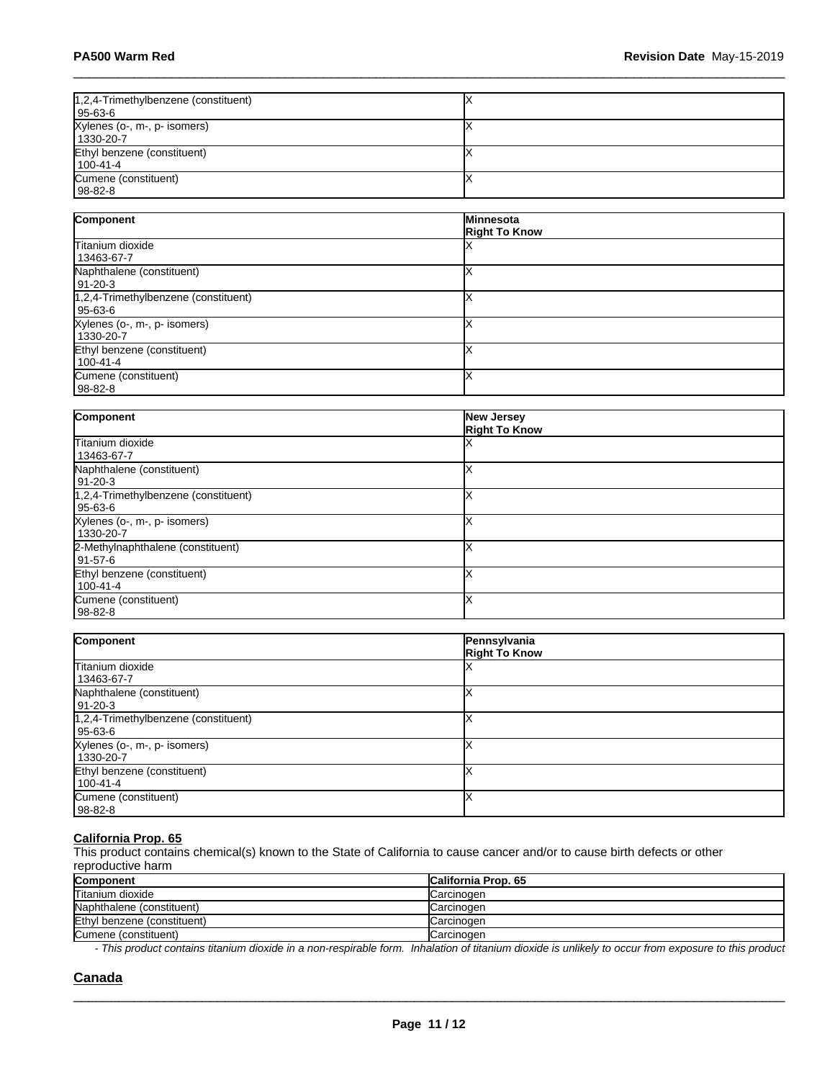| 1,2,4-Trimethylbenzene (constituent)<br>  95-63-6 |  |
|---------------------------------------------------|--|
| Xylenes (o-, m-, p- isomers)<br>1330-20-7         |  |
| Ethyl benzene (constituent)<br>  100-41-4         |  |
| Cumene (constituent)<br>  98-82-8                 |  |

| Component                                         | Minnesota<br><b>Right To Know</b> |
|---------------------------------------------------|-----------------------------------|
| Titanium dioxide<br>13463-67-7                    |                                   |
| Naphthalene (constituent)<br>  91-20-3            |                                   |
| 1,2,4-Trimethylbenzene (constituent)<br>  95-63-6 |                                   |
| Xylenes (o-, m-, p- isomers)<br>1330-20-7         |                                   |
| Ethyl benzene (constituent)<br>l 100-41-4         |                                   |
| Cumene (constituent)<br>  98-82-8                 |                                   |

| Component                            | New Jersey<br><b>Right To Know</b> |
|--------------------------------------|------------------------------------|
| Titanium dioxide                     |                                    |
| 13463-67-7                           |                                    |
| Naphthalene (constituent)            |                                    |
| $191 - 20 - 3$                       |                                    |
| 1,2,4-Trimethylbenzene (constituent) |                                    |
| 95-63-6                              |                                    |
| Xylenes (o-, m-, p- isomers)         |                                    |
| 1330-20-7                            |                                    |
| 2-Methylnaphthalene (constituent)    |                                    |
| 91-57-6                              |                                    |
| Ethyl benzene (constituent)          |                                    |
| 100-41-4                             |                                    |
| Cumene (constituent)                 |                                    |
| l 98-82-8                            |                                    |

| Component                                         | Pennsylvania<br><b>Right To Know</b> |
|---------------------------------------------------|--------------------------------------|
| Titanium dioxide<br>13463-67-7                    |                                      |
| Naphthalene (constituent)<br>91-20-3              |                                      |
| 1,2,4-Trimethylbenzene (constituent)<br>  95-63-6 |                                      |
| Xylenes (o-, m-, p- isomers)<br>1330-20-7         |                                      |
| Ethyl benzene (constituent)<br>100-41-4           |                                      |
| Cumene (constituent)<br>  98-82-8                 |                                      |

#### **California Prop. 65**

This product contains chemical(s) known to the State of California to cause cancer and/or to cause birth defects or other reproductive harm

| Component                   | <b>California Prop. 65</b> |
|-----------------------------|----------------------------|
| Titanium dioxide            | Carcinogen                 |
| Naphthalene (constituent)   | Carcinogen                 |
| Ethyl benzene (constituent) | Carcinogen                 |
| Cumene (constituent)        | Carcinogen                 |

*- This product contains titanium dioxide in a non-respirable form. Inhalation of titanium dioxide is unlikely to occur from exposure to this product*

 $\_$  ,  $\_$  ,  $\_$  ,  $\_$  ,  $\_$  ,  $\_$  ,  $\_$  ,  $\_$  ,  $\_$  ,  $\_$  ,  $\_$  ,  $\_$  ,  $\_$  ,  $\_$  ,  $\_$  ,  $\_$  ,  $\_$  ,  $\_$  ,  $\_$  ,  $\_$  ,  $\_$  ,  $\_$  ,  $\_$  ,  $\_$  ,  $\_$  ,  $\_$  ,  $\_$  ,  $\_$  ,  $\_$  ,  $\_$  ,  $\_$  ,  $\_$  ,  $\_$  ,  $\_$  ,  $\_$  ,  $\_$  ,  $\_$  ,

### **Canada**